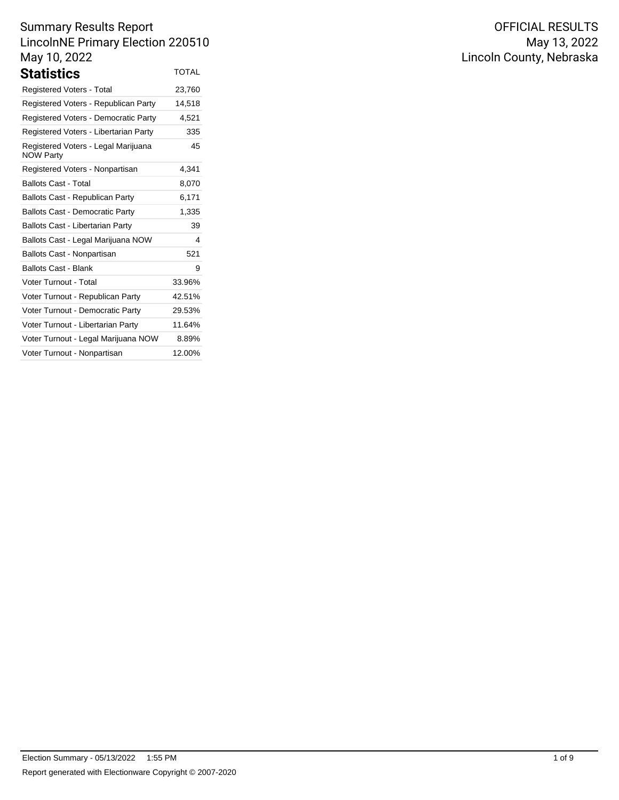| Statistics                                              | <b>TOTAL</b> |
|---------------------------------------------------------|--------------|
| <b>Registered Voters - Total</b>                        | 23,760       |
| Registered Voters - Republican Party                    | 14,518       |
| Registered Voters - Democratic Party                    | 4,521        |
| Registered Voters - Libertarian Party                   | 335          |
| Registered Voters - Legal Marijuana<br><b>NOW Party</b> | 45           |
| Registered Voters - Nonpartisan                         | 4,341        |
| <b>Ballots Cast - Total</b>                             | 8,070        |
| Ballots Cast - Republican Party                         | 6,171        |
| <b>Ballots Cast - Democratic Party</b>                  | 1,335        |
| <b>Ballots Cast - Libertarian Party</b>                 | 39           |
| Ballots Cast - Legal Marijuana NOW                      | 4            |
| Ballots Cast - Nonpartisan                              | 521          |
| <b>Ballots Cast - Blank</b>                             | 9            |
| <b>Voter Turnout - Total</b>                            | 33.96%       |
| Voter Turnout - Republican Party                        | 42.51%       |
| Voter Turnout - Democratic Party                        | 29.53%       |
| Voter Turnout - Libertarian Party                       | 11.64%       |
| Voter Turnout - Legal Marijuana NOW                     | 8.89%        |
| Voter Turnout - Nonpartisan                             | 12.00%       |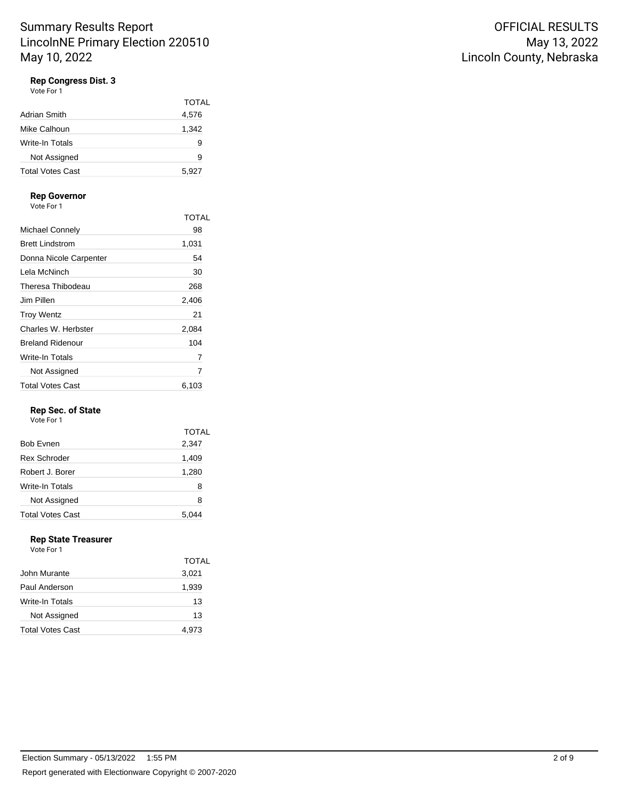# **Rep Congress Dist. 3**

Vote For 1

|                  | <b>TOTAL</b> |
|------------------|--------------|
| Adrian Smith     | 4,576        |
| Mike Calhoun     | 1,342        |
| Write-In Totals  | 9            |
| Not Assigned     | 9            |
| Total Votes Cast | 5,927        |

#### **Rep Governor**

Vote For 1

|                         | <b>TOTAL</b> |
|-------------------------|--------------|
| Michael Connely         | 98           |
| <b>Brett Lindstrom</b>  | 1,031        |
| Donna Nicole Carpenter  | 54           |
| Lela McNinch            | 30           |
| Theresa Thibodeau       | 268          |
| Jim Pillen              | 2,406        |
| <b>Troy Wentz</b>       | 21           |
| Charles W. Herbster     | 2,084        |
| <b>Breland Ridenour</b> | 104          |
| Write-In Totals         | 7            |
| Not Assigned            | 7            |
| <b>Total Votes Cast</b> | 6.103        |

### **Rep Sec. of State**

Vote For 1

| <b>TOTAL</b> |
|--------------|
| 2,347        |
| 1,409        |
| 1,280        |
| 8            |
| 8            |
| 5,044        |
|              |

# **Rep State Treasurer**

|                         | TOTAL |
|-------------------------|-------|
| John Murante            | 3,021 |
| Paul Anderson           | 1,939 |
| Write-In Totals         | 13    |
| Not Assigned            | 13    |
| <b>Total Votes Cast</b> | 4.973 |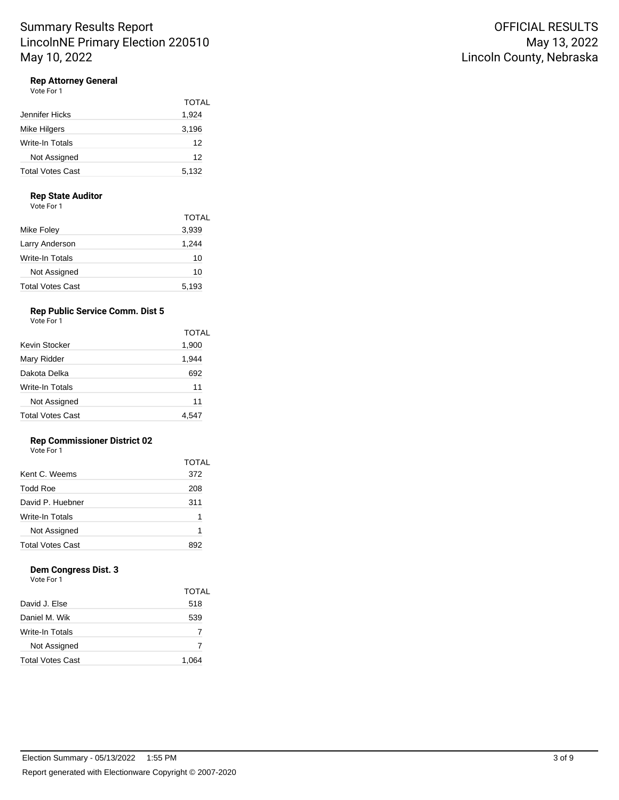# **Rep Attorney General**

Vote For 1

|                         | <b>TOTAL</b> |
|-------------------------|--------------|
| Jennifer Hicks          | 1,924        |
| Mike Hilgers            | 3,196        |
| Write-In Totals         | 12           |
| Not Assigned            | 12           |
| <b>Total Votes Cast</b> | 5,132        |

#### **Rep State Auditor**

Vote For 1

|                  | <b>TOTAL</b> |
|------------------|--------------|
| Mike Foley       | 3,939        |
| Larry Anderson   | 1,244        |
| Write-In Totals  | 10           |
| Not Assigned     | 10           |
| Total Votes Cast | 5,193        |

# **Rep Public Service Comm. Dist 5**

Vote For 1

|                         | TOTAL |
|-------------------------|-------|
| Kevin Stocker           | 1,900 |
| Mary Ridder             | 1,944 |
| Dakota Delka            | 692   |
| Write-In Totals         | 11    |
| Not Assigned            | 11    |
| <b>Total Votes Cast</b> | 4,547 |

#### **Rep Commissioner District 02**

Vote For 1

|                         | TOTAL |
|-------------------------|-------|
| Kent C. Weems           | 372   |
| <b>Todd Roe</b>         | 208   |
| David P. Huebner        | 311   |
| Write-In Totals         | 1     |
| Not Assigned            | 1     |
| <b>Total Votes Cast</b> |       |

# **Dem Congress Dist. 3**

|                         | TOTAL |
|-------------------------|-------|
| David J. Else           | 518   |
| Daniel M. Wik           | 539   |
| Write-In Totals         | 7     |
| Not Assigned            | 7     |
| <b>Total Votes Cast</b> | 1.064 |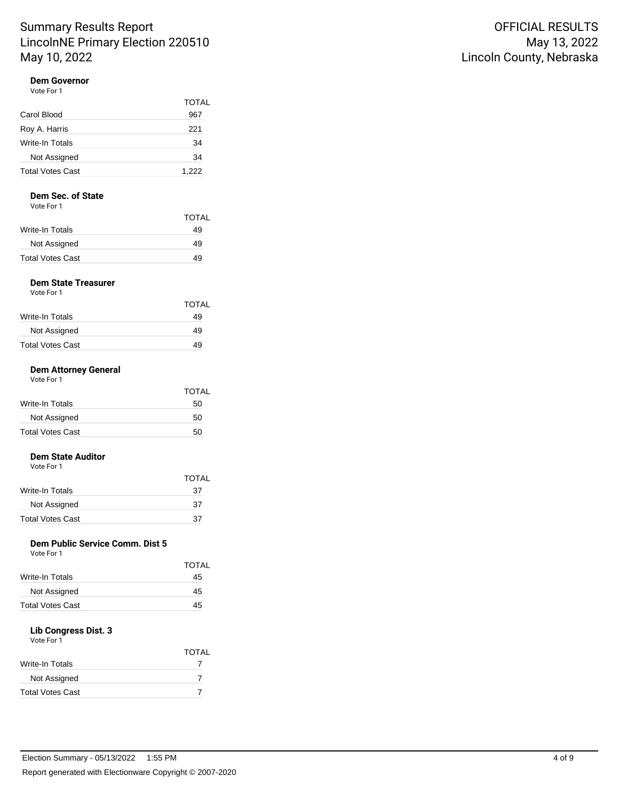## **Dem Governor**

| Vote For 1              |       |
|-------------------------|-------|
|                         | TOTAL |
| Carol Blood             | 967   |
| Roy A. Harris           | 221   |
| Write-In Totals         | 34    |
| Not Assigned            | 34    |
| <b>Total Votes Cast</b> | 1,222 |

#### **Dem Sec. of State**

Vote For 1

| <b>TOTAL</b> |
|--------------|
| 49           |
| 49           |
| 49           |
|              |

# **Dem State Treasurer**

| Vote For 1 |  |
|------------|--|
|------------|--|

|                  | TOTAL |
|------------------|-------|
| Write-In Totals  | 49    |
| Not Assigned     | 49    |
| Total Votes Cast | 49    |

### **Dem Attorney General**

| Vote For 1 |
|------------|
|            |

|                         | TOTAL |
|-------------------------|-------|
| Write-In Totals         | 50    |
| Not Assigned            | 50    |
| <b>Total Votes Cast</b> | 50    |

# **Dem State Auditor**

| Vote For 1 |  |
|------------|--|

|                         | TOTAL |
|-------------------------|-------|
| Write-In Totals         | 37    |
| Not Assigned            | 37    |
| <b>Total Votes Cast</b> | 37    |

# **Dem Public Service Comm. Dist 5**

|                         | TOTAL |
|-------------------------|-------|
| Write-In Totals         | 45    |
| Not Assigned            | 45    |
| <b>Total Votes Cast</b> | 45    |
|                         |       |

### **Lib Congress Dist. 3**

| Vote For 1              |              |
|-------------------------|--------------|
|                         | <b>TOTAL</b> |
| Write-In Totals         |              |
| Not Assigned            |              |
| <b>Total Votes Cast</b> |              |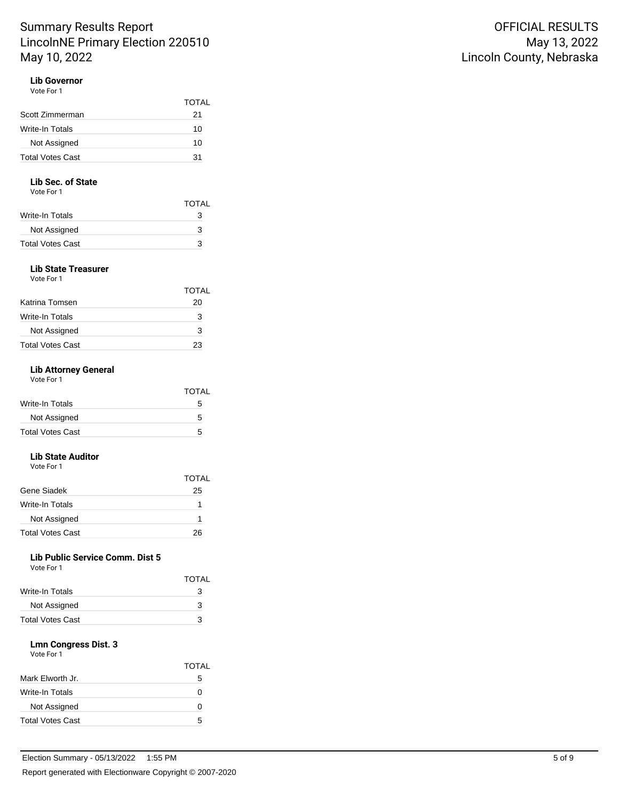TOTAL

## **Lib Governor**

| Vote For 1      |      |
|-----------------|------|
|                 | TOTA |
| Scott Zimmerman | 21   |
| Write-In Totals | 10   |
| Not Assigned    | 10   |

Total Votes Cast 31

#### **Lib Sec. of State**

Vote For 1

|                  | TOTAL |
|------------------|-------|
| Write-In Totals  | з     |
| Not Assigned     | 3     |
| Total Votes Cast | з     |

#### **Lib State Treasurer** Vote For 1

|                         | <b>TOTAL</b> |
|-------------------------|--------------|
| Katrina Tomsen          | 20           |
| Write-In Totals         | 3            |
| Not Assigned            | 3            |
| <b>Total Votes Cast</b> | 23           |

### **Lib Attorney General**

Vote For 1

|                         | TOTAL |
|-------------------------|-------|
| Write-In Totals         | 5     |
| Not Assigned            | 5     |
| <b>Total Votes Cast</b> | 5     |

## **Lib State Auditor**

Vote For 1

|                         | <b>TOTAL</b> |
|-------------------------|--------------|
| Gene Siadek             | 25           |
| Write-In Totals         |              |
| Not Assigned            |              |
| <b>Total Votes Cast</b> | 26           |

## **Lib Public Service Comm. Dist 5**

Vote For 1

|                         | TOTAL |
|-------------------------|-------|
| Write-In Totals         | 3     |
| Not Assigned            | 3     |
| <b>Total Votes Cast</b> | з     |

## **Lmn Congress Dist. 3**

|                         | <b>TOTAL</b> |
|-------------------------|--------------|
| Mark Elworth Jr.        | 5            |
| <b>Write-In Totals</b>  | 0            |
| Not Assigned            | 0            |
| <b>Total Votes Cast</b> | 5            |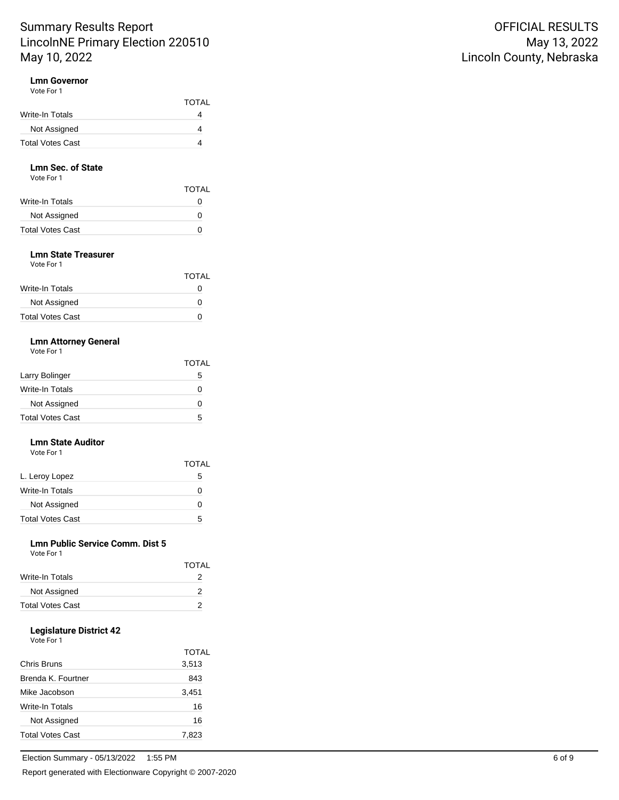### **Lmn Governor**

| Vote For 1              |              |
|-------------------------|--------------|
|                         | <b>TOTAL</b> |
| Write-In Totals         |              |
| Not Assigned            |              |
| <b>Total Votes Cast</b> |              |

#### **Lmn Sec. of State** Vote For 1

| <b>TOTAL</b> |
|--------------|
|              |
| 0            |
| $\mathbf{I}$ |
|              |

#### **Lmn State Treasurer** Vote For 1

| VULTE FUIL              |              |
|-------------------------|--------------|
|                         | <b>TOTAL</b> |
| Write-In Totals         | 0            |
| Not Assigned            | O            |
| <b>Total Votes Cast</b> | O            |
|                         |              |

#### **Lmn Attorney General** Vote For 1

| <b>VOLE FOI</b> I |  |
|-------------------|--|
|                   |  |
|                   |  |

|                         | <b>TOTAL</b> |
|-------------------------|--------------|
| Larry Bolinger          | 5            |
| Write-In Totals         | 0            |
| Not Assigned            | 0            |
| <b>Total Votes Cast</b> | 5            |

## **Lmn State Auditor**

Vote For 1

|                         | TOTAI |
|-------------------------|-------|
| L. Leroy Lopez          | 5     |
| Write-In Totals         | 0     |
| Not Assigned            | 0     |
| <b>Total Votes Cast</b> | 5     |

### **Lmn Public Service Comm. Dist 5**

| Vote For 1      |              |
|-----------------|--------------|
|                 | <b>TOTAL</b> |
| Write-In Totals |              |
| Not Assigned    |              |

Total Votes Cast 2

### **Legislature District 42**

|                           | TOTAL |
|---------------------------|-------|
| Chris Bruns               | 3,513 |
| <b>Brenda K, Fourtner</b> | 843   |
| Mike Jacobson             | 3,451 |
| Write-In Totals           | 16    |
| Not Assigned              | 16    |
| <b>Total Votes Cast</b>   | 7.823 |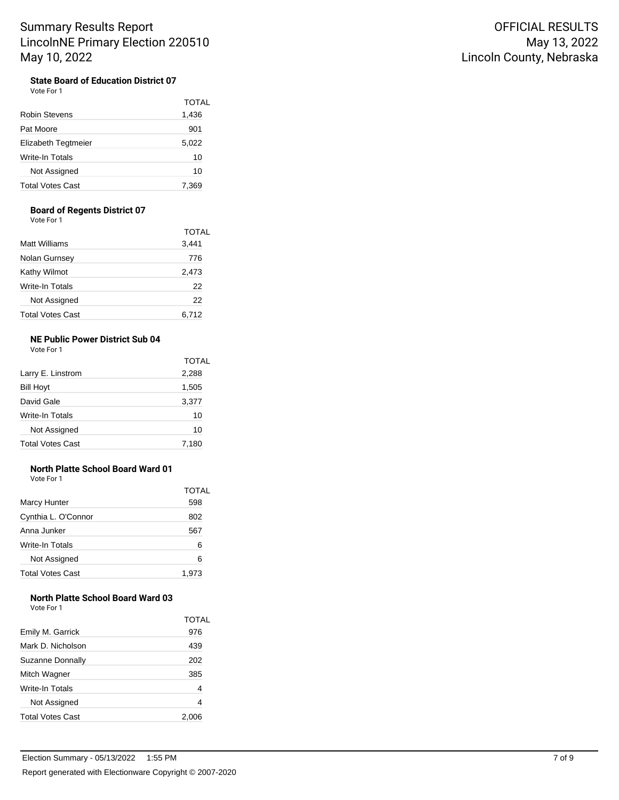### **State Board of Education District 07**

Vote For 1

|                         | <b>TOTAL</b> |
|-------------------------|--------------|
| Robin Stevens           | 1,436        |
| Pat Moore               | 901          |
| Elizabeth Tegtmeier     | 5,022        |
| Write-In Totals         | 10           |
| Not Assigned            | 10           |
| <b>Total Votes Cast</b> | 7,369        |

#### **Board of Regents District 07**

Vote For 1

|                         | TOTAL |
|-------------------------|-------|
| Matt Williams           | 3,441 |
| Nolan Gurnsey           | 776   |
| Kathy Wilmot            | 2,473 |
| <b>Write-In Totals</b>  | 22    |
| Not Assigned            | 22    |
| <b>Total Votes Cast</b> | 6.712 |

## **NE Public Power District Sub 04**

Vote For 1

|                         | <b>TOTAL</b> |
|-------------------------|--------------|
| Larry E. Linstrom       | 2,288        |
| <b>Bill Hoyt</b>        | 1,505        |
| David Gale              | 3,377        |
| Write-In Totals         | 10           |
| Not Assigned            | 10           |
| <b>Total Votes Cast</b> | 7,180        |

# **North Platte School Board Ward 01**

Vote For 1

|                         | TOTAL |
|-------------------------|-------|
| <b>Marcy Hunter</b>     | 598   |
| Cynthia L. O'Connor     | 802   |
| Anna Junker             | 567   |
| Write-In Totals         | 6     |
| Not Assigned            | 6     |
| <b>Total Votes Cast</b> | 1,973 |

#### **North Platte School Board Ward 03**

| Emily M. Garrick        | TOTAL<br>976 |
|-------------------------|--------------|
| Mark D. Nicholson       | 439          |
| Suzanne Donnally        | 202          |
| Mitch Wagner            | 385          |
| Write-In Totals         | 4            |
| Not Assigned            | 4            |
| <b>Total Votes Cast</b> | 2,00c        |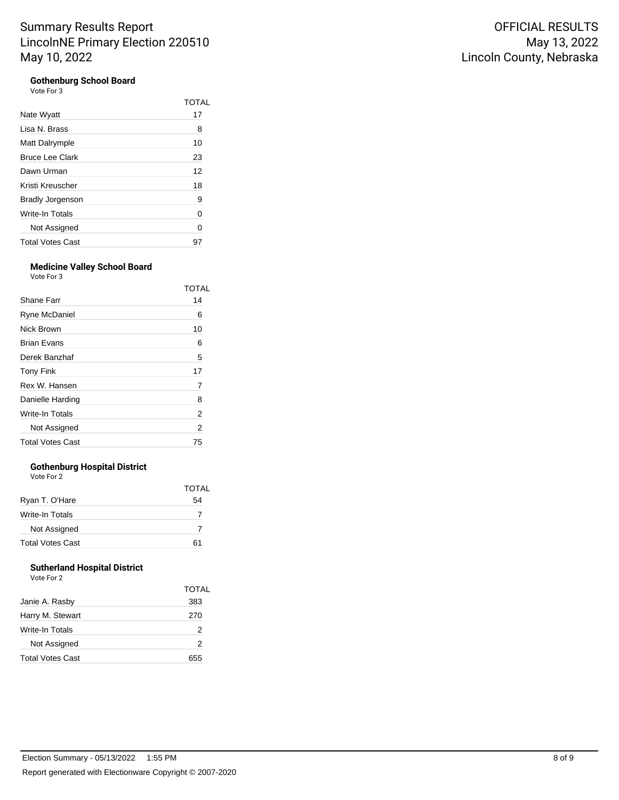#### **Gothenburg School Board**  $V$

| ote For 3 |  |
|-----------|--|
|-----------|--|

|                         | TOTAL |
|-------------------------|-------|
| Nate Wyatt              | 17    |
| Lisa N. Brass           | 8     |
| Matt Dalrymple          | 10    |
| <b>Bruce Lee Clark</b>  | 23    |
| Dawn Urman              | 12    |
| Kristi Kreuscher        | 18    |
| <b>Bradly Jorgenson</b> | 9     |
| Write-In Totals         | 0     |
| Not Assigned            | 0     |
| <b>Total Votes Cast</b> | 97    |

#### **Medicine Valley School Board** Vote For 3

| 1 U U U                 |       |  |
|-------------------------|-------|--|
|                         | TOTAL |  |
| Shane Farr              | 14    |  |
| Ryne McDaniel           | 6     |  |
| Nick Brown              | 10    |  |
| <b>Brian Evans</b>      | 6     |  |
| Derek Banzhaf           | 5     |  |
| <b>Tony Fink</b>        | 17    |  |
| Rex W. Hansen           | 7     |  |
| Danielle Harding        | 8     |  |
| Write-In Totals         | 2     |  |
| Not Assigned            | 2     |  |
| <b>Total Votes Cast</b> | 75    |  |

### **Gothenburg Hospital District**

| Vote For 2              |              |
|-------------------------|--------------|
|                         | <b>TOTAL</b> |
| Ryan T. O'Hare          | 54           |
| Write-In Totals         | 7            |
| Not Assigned            | 7            |
| <b>Total Votes Cast</b> | 61           |

## **Sutherland Hospital District**

| Vote For 2 |  |
|------------|--|
|------------|--|

|                         | TOTAL |
|-------------------------|-------|
| Janie A. Rasby          | 383   |
| Harry M. Stewart        | 270   |
| Write-In Totals         | 2     |
| Not Assigned            | 2     |
| <b>Total Votes Cast</b> | 655   |